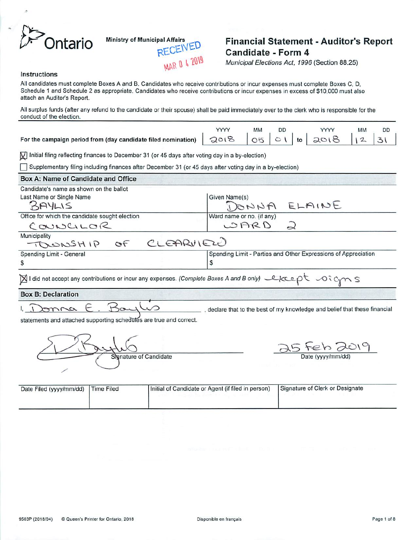

# **Ontario** Ministry of Municipal Affairs<br>**CEIVED Candidate - Form 4**<br>Municipal *Elections Act, 1996* (Section 88.25)

YYYY MM

*I\*.*

DD *2>\*

*Municipal Elections Act, 1996* (Section 88.25)

DD

#### *Instructions*

Allcandidates must complete Boxes A and B. Candidates who receive contributions or incur expenses must complete Boxes C, D, Schedule 1 and Schedule 2 as appropriate. Candidates who receive contributions or incur expenses in excess of \$10,000 must also attach an Auditor's Report. All surplus funds (after any refund to the candidate or their spouse) shall be paid immediately over to the clerk who is responsible for the conduct of the election.

YYYY MM

| For the campaign period from (day candidate filed nomination) $Q_0(8 - 0.5)$ of $(6 - 20.8)$ |  |  |  |  |
|----------------------------------------------------------------------------------------------|--|--|--|--|
|----------------------------------------------------------------------------------------------|--|--|--|--|

**KFj** Initial filing reflecting finances to December 31 (or 45 days after voting day ina by-election)

□ Supplementary filing including finances after December 31 (or 45 days after voting day in a by-election)

| Box A: Name of Candidate and Office                                                                                                                     |                                                                          |
|---------------------------------------------------------------------------------------------------------------------------------------------------------|--------------------------------------------------------------------------|
| Candidate's name as shown on the ballot                                                                                                                 |                                                                          |
| Last Name or Single Name                                                                                                                                | Given Name(s)                                                            |
| BAYLIS                                                                                                                                                  | DONNA ELAINE                                                             |
| Office for which the candidate sought election                                                                                                          | Ward name or no. (if any)                                                |
| COUNCILOR                                                                                                                                               | OARD<br>2                                                                |
| Municipality                                                                                                                                            |                                                                          |
| TOWNSHIP OF CLEARVIEW                                                                                                                                   |                                                                          |
| Spending Limit - General                                                                                                                                | Spending Limit - Parties and Other Expressions of Appreciation           |
| \$                                                                                                                                                      | \$                                                                       |
| $\boxtimes$ I did not accept any contributions or incur any expenses. (Complete Boxes A and B only) $\ell\ell\in\mathbb{C}$ $\uparrow\rightarrow\infty$ |                                                                          |
| <b>Box B: Declaration</b>                                                                                                                               |                                                                          |
| omna E. Bay                                                                                                                                             | declare that to the best of my knowledge and belief that these financial |
| statements and attached supporting schedules are true and correct.                                                                                      |                                                                          |
|                                                                                                                                                         |                                                                          |
|                                                                                                                                                         |                                                                          |
|                                                                                                                                                         | 25 Feb 2019                                                              |
| Signature of Candidate                                                                                                                                  | Date (yyyy/mm/dd)                                                        |

| Date Filed (yyyy/mm/dd) | Time Filed | Initial of Candidate or Agent (if filed in person) | Signature of Clerk or Designate |
|-------------------------|------------|----------------------------------------------------|---------------------------------|
|                         |            |                                                    |                                 |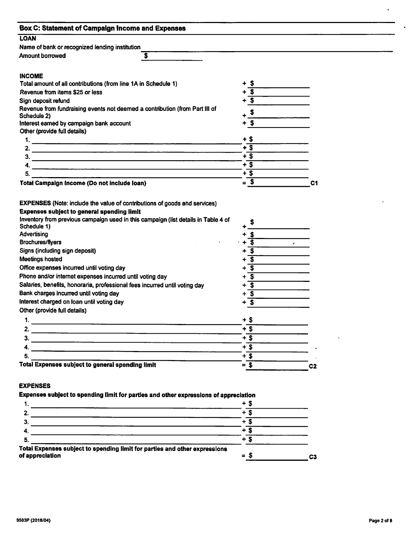| <b>LOAN</b>                                                                                                          |                                                         |                            |
|----------------------------------------------------------------------------------------------------------------------|---------------------------------------------------------|----------------------------|
| Name of bank or recognized lending institution                                                                       |                                                         |                            |
| <b>Amount borrowed</b><br>\$                                                                                         |                                                         |                            |
|                                                                                                                      |                                                         |                            |
| <b>INCOME</b>                                                                                                        |                                                         |                            |
| Total amount of all contributions (from line 1A in Schedule 1)                                                       | - 5                                                     |                            |
| Revenue from items \$25 or less                                                                                      | $\overline{\mathbf{s}}$                                 |                            |
| Sign deposit refund                                                                                                  | $\overline{\mathbf{s}}$                                 |                            |
| Revenue from fundraising events not deemed a contribution (from Part III of                                          |                                                         |                            |
| Schedule 2)                                                                                                          | $\boldsymbol{\mathsf{s}}$                               |                            |
| Interest earned by campaign bank account                                                                             | $+$ \$                                                  |                            |
| Other (provide full details)                                                                                         |                                                         |                            |
| 1.                                                                                                                   | $+$ \$                                                  |                            |
| 2.                                                                                                                   | $+5$<br>$+$ \$                                          |                            |
| 3.<br><u> 1989 - Johann Barbara, martxa alemaniar arg</u>                                                            |                                                         |                            |
| 4.                                                                                                                   | $+$ s                                                   |                            |
| 5.                                                                                                                   | $+$ \$                                                  |                            |
| Total Campaign Income (Do not include loan)                                                                          | $=$ \$                                                  | C <sub>1</sub>             |
| Schedule 1)<br>Advertising                                                                                           |                                                         |                            |
|                                                                                                                      |                                                         |                            |
| <b>Brochures/flyers</b>                                                                                              | $+3$<br>$\overline{\mathbf{s}}$                         | $\mathcal{L}^{\text{max}}$ |
| Signs (including sign deposit)<br><b>Meetings hosted</b>                                                             | इ                                                       |                            |
|                                                                                                                      |                                                         |                            |
| Office expenses incurred until voting day                                                                            | $\overline{\mathbf{s}}$<br>+                            |                            |
| Phone and/or internet expenses incurred until voting day                                                             | $\overline{\mathbf{s}}$<br>+<br>$\overline{\mathbf{s}}$ |                            |
| Salaries, benefits, honoraria, professional fees incurred until voting day<br>Bank charges incurred until voting day | ٠<br>$+\overline{\mathsf{s}}$                           |                            |
| Interest charged on loan until voting day                                                                            | $+$ \$                                                  |                            |
| Other (provide full details)                                                                                         |                                                         |                            |
| 1.                                                                                                                   | $+$ \$                                                  |                            |
|                                                                                                                      |                                                         |                            |
| 2.                                                                                                                   | $+$ \$                                                  |                            |
| 3.                                                                                                                   | $+$ \$                                                  |                            |
| 4.                                                                                                                   | $+\overline{\$}$                                        |                            |
| 5.                                                                                                                   | $+$ \$                                                  |                            |
| Total Expenses subject to general spending limit                                                                     | $= $$                                                   | C <sub>2</sub>             |
|                                                                                                                      |                                                         |                            |
|                                                                                                                      |                                                         |                            |
|                                                                                                                      |                                                         |                            |
|                                                                                                                      |                                                         |                            |
| <b>EXPENSES</b><br>Expenses subject to spending limit for parties and other expressions of appreciation<br>1.        | + \$                                                    |                            |

|                                                                                               | +              |    |
|-----------------------------------------------------------------------------------------------|----------------|----|
|                                                                                               |                |    |
|                                                                                               |                |    |
|                                                                                               |                |    |
|                                                                                               |                |    |
| Total Expenses subject to spending limit for parties and other expressions<br>of appreciation | $\blacksquare$ | C3 |

 $\bullet$  .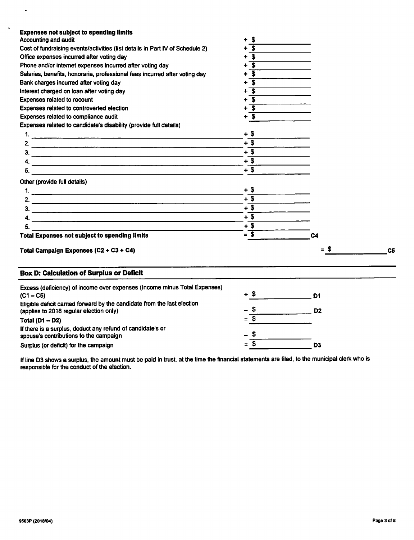| <b>Expenses not subject to spending limits</b>                                                      |                         |                |                |
|-----------------------------------------------------------------------------------------------------|-------------------------|----------------|----------------|
| <b>Accounting and audit</b>                                                                         | - \$<br>÷               |                |                |
| Cost of fundraising events/activities (list details in Part IV of Schedule 2)                       | $\overline{\mathbf{s}}$ |                |                |
| Office expenses incurred after voting day                                                           | $+$ \$                  |                |                |
| Phone and/or internet expenses incurred after voting day                                            | - \$                    |                |                |
| Salaries, benefits, honoraria, professional fees incurred after voting day                          | $\overline{\mathbf{s}}$ |                |                |
| Bank charges incurred after voting day                                                              | S.                      |                |                |
| Interest charged on loan after voting day                                                           | -S                      |                |                |
| Expenses related to recount                                                                         | -S                      |                |                |
| Expenses related to controverted election                                                           | -S                      |                |                |
| Expenses related to compliance audit                                                                | + \$                    |                |                |
| Expenses related to candidate's disability (provide full details)                                   |                         |                |                |
|                                                                                                     | $+$ \$                  |                |                |
|                                                                                                     | $+$ \$                  |                |                |
| $\frac{1}{2}$                                                                                       | $+$ \$                  |                |                |
|                                                                                                     | $+$ \$                  |                |                |
|                                                                                                     | $+$ \$                  |                |                |
| Other (provide full details)                                                                        |                         |                |                |
|                                                                                                     | + \$                    |                |                |
|                                                                                                     | $+$ \$                  |                |                |
|                                                                                                     | $+$ \$                  |                |                |
|                                                                                                     | $+$ \$                  |                |                |
| 5.                                                                                                  | $+$ \$                  |                |                |
| <u> 1989 - John Harrison, mars et al. (</u><br><b>Total Expenses not subject to spending limits</b> | $= 5$                   | C <sub>4</sub> |                |
|                                                                                                     |                         |                |                |
| Total Campaign Expenses (C2 + C3 + C4)                                                              |                         | = 5            | C <sub>5</sub> |
| <b>Box D: Calculation of Surplus or Deficit</b>                                                     |                         |                |                |
| Excess (deficiency) of income over expenses (Income minus Total Expenses)                           |                         |                |                |
| $(C1 - C5)$                                                                                         | $+$ \$                  | D1             |                |
| Eligible deficit carried forward by the candidate from the last election                            |                         |                |                |
| (applies to 2018 regular election only)                                                             | -5                      | D <sub>2</sub> |                |
| Total $(D1 - D2)$                                                                                   | $=$ \$                  |                |                |
| If there is a surplus, deduct any refund of candidate's or                                          |                         |                |                |
| spouse's contributions to the campaign                                                              | - 5                     |                |                |
| Surplus (or deficit) for the campaign                                                               | $=$ \$                  | D <sub>3</sub> |                |

If line D3 shows a surplus, the amount must be paid in trust, at the time the financial statements are filed, to the municipal clerk who is responsible for the conduct of the election.

 $\hat{\boldsymbol{\cdot} }$ 

 $\ddot{\phantom{a}}$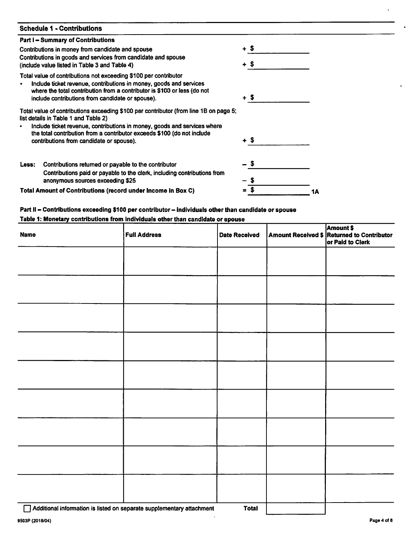| <b>Schedule 1 - Contributions</b>                                                                                                                                                                                                                                      |        |    |
|------------------------------------------------------------------------------------------------------------------------------------------------------------------------------------------------------------------------------------------------------------------------|--------|----|
| <b>Part I-Summary of Contributions</b>                                                                                                                                                                                                                                 |        |    |
| Contributions in money from candidate and spouse<br>Contributions in goods and services from candidate and spouse                                                                                                                                                      | $+$ \$ |    |
| (include value listed in Table 3 and Table 4)                                                                                                                                                                                                                          | + \$   |    |
| Total value of contributions not exceeding \$100 per contributor<br>Include ticket revenue, contributions in money, goods and services<br>where the total contribution from a contributor is \$100 or less (do not<br>include contributions from candidate or spouse). | + \$   |    |
| Total value of contributions exceeding \$100 per contributor (from line 1B on page 5;<br>list details in Table 1 and Table 2)                                                                                                                                          |        |    |
| Include ticket revenue, contributions in money, goods and services where<br>the total contribution from a contributor exceeds \$100 (do not include                                                                                                                    |        |    |
| contributions from candidate or spouse).                                                                                                                                                                                                                               | + S    |    |
| Contributions returned or payable to the contributor<br>Less:                                                                                                                                                                                                          |        |    |
| Contributions paid or payable to the clerk, including contributions from<br>anonymous sources exceeding \$25                                                                                                                                                           |        |    |
| Total Amount of Contributions (record under Income in Box C)                                                                                                                                                                                                           |        | 1Α |

# *Part II- Contributions exceeding \$100 per contributor- individuals other than candidate or spouse*

## *Table 1: Monetary contributions from individuals otherthan candidate orspouse*

| <b>Name</b> | <b>Full Address</b> | Date Received | Amount Received \$ Amount \$<br>Amount Received \$ Returned to Contributor<br>or Paid to Clerk |
|-------------|---------------------|---------------|------------------------------------------------------------------------------------------------|
|             |                     |               |                                                                                                |
|             |                     |               |                                                                                                |
|             |                     |               |                                                                                                |
|             |                     |               |                                                                                                |
|             |                     |               |                                                                                                |
|             |                     |               |                                                                                                |
|             |                     |               |                                                                                                |
|             |                     |               |                                                                                                |
|             |                     |               |                                                                                                |
|             |                     |               |                                                                                                |

,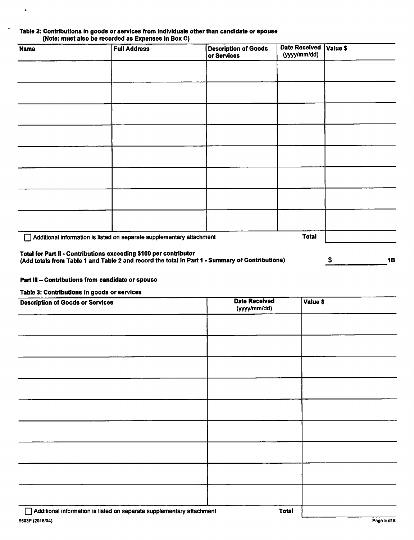## *Table 2: Contributions in goods orservices from individuals other than candidate or spouse (Note: must also be recorded as Expenses in Box C)*

| <b>Name</b> | <b>Full Address</b>                                                   | <b>Description of Goods</b><br>or Services                                                      | Date Received   Value \$<br>(yyyy/mm/dd) |                 |
|-------------|-----------------------------------------------------------------------|-------------------------------------------------------------------------------------------------|------------------------------------------|-----------------|
|             |                                                                       |                                                                                                 |                                          |                 |
|             |                                                                       |                                                                                                 |                                          |                 |
|             |                                                                       |                                                                                                 |                                          |                 |
|             |                                                                       |                                                                                                 |                                          |                 |
|             |                                                                       |                                                                                                 |                                          |                 |
|             |                                                                       |                                                                                                 |                                          |                 |
|             |                                                                       |                                                                                                 |                                          |                 |
|             |                                                                       |                                                                                                 |                                          |                 |
|             | Additional information is listed on separate supplementary attachment |                                                                                                 | <b>Total</b>                             |                 |
|             | Total for Part II - Contributions exceeding \$100 per contributor     | (Add totals from Table 1 and Table 2 and record the total in Part 1 - Summary of Contributions) |                                          | <b>1B</b><br>\$ |

## *Part III- Contributions from candidate or spouse*

#### *Table 3: Contributions in goods or services*

 $\bullet$ 

 $\ddot{\phantom{1}}$ 

| <b>Description of Goods or Services</b>                               | <b>Date Received</b><br>(yyyy/mm/dd) | Value \$ |
|-----------------------------------------------------------------------|--------------------------------------|----------|
|                                                                       |                                      |          |
|                                                                       |                                      |          |
|                                                                       |                                      |          |
|                                                                       |                                      |          |
|                                                                       |                                      |          |
|                                                                       |                                      |          |
|                                                                       |                                      |          |
|                                                                       |                                      |          |
|                                                                       |                                      |          |
| Additional information is listed on separate supplementary attachment | <b>Total</b>                         |          |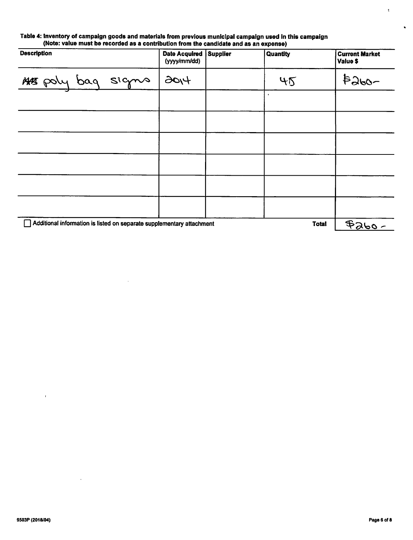#### *Table 4: Inventory of campaign goods and materials from previous municipal campaign used in this campaign (Note: value must be recorded as a contribution from the candidate and as an expense)*

 $\sim$ 

| <b>Description</b>                                                                    |  |  | <b>Date Acquired</b><br>(yyyy/mm/dd) | <b>Supplier</b> | <b>Quantity</b> | <b>Current Market</b><br>Value \$ |
|---------------------------------------------------------------------------------------|--|--|--------------------------------------|-----------------|-----------------|-----------------------------------|
| MA poly bag signs                                                                     |  |  | 120(4)                               |                 | 45              | $8260 -$                          |
|                                                                                       |  |  |                                      |                 |                 |                                   |
|                                                                                       |  |  |                                      |                 |                 |                                   |
|                                                                                       |  |  |                                      |                 |                 |                                   |
|                                                                                       |  |  |                                      |                 |                 |                                   |
|                                                                                       |  |  |                                      |                 |                 |                                   |
|                                                                                       |  |  |                                      |                 |                 |                                   |
| Additional information is listed on separate supplementary attachment<br><b>Total</b> |  |  |                                      |                 | $4260 -$        |                                   |

 $\bar{t}$ 

 $\ddot{\phantom{a}}$ 

 $\epsilon$ 

 $\bullet$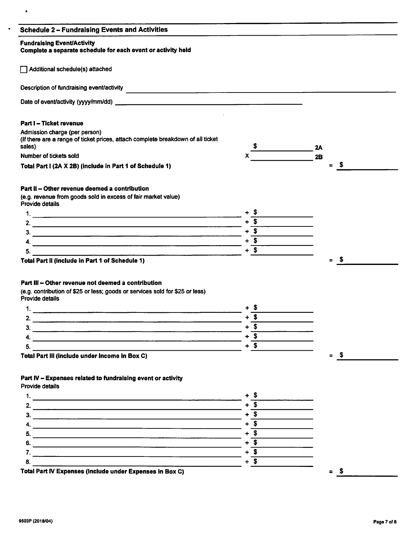|  |  |  | <b>Schedule 2-Fundraising Events and Activities</b> |
|--|--|--|-----------------------------------------------------|
|--|--|--|-----------------------------------------------------|

#### *Fundraising Event/Activity*

 $\bullet$ 

*Complete a separate schedule for each event or activity held*

 $\Box$  Additional schedule(s) attached

Description of fundraising event/activity

Date of event/activity (yyyy/mm/dd)

## *Part I - Ticket revenue*

Admission charge (per person) (Ifthere are a range of ticket prices, attach complete breakdown of all ticket  $\frac{\text{S}}{\text{A}}$  2A Number of tickets sold **2B**<br>Number of tickets sold **2B** 

*Total Part I (2A X 2B) (include in Part 1 of Schedule 1)*

## *Part II - Other revenue deemed a contribution*

(e.g. revenue from goods sold in excess of fair market value) Provide details

and the contract of the contract of the contract of the contract of the contract of the contract of the contract of

*Total Part II (include in Part 1 of Schedule 1) = \$*

## *Part III - Other revenue not deemed <sup>a</sup> contribution*

(e.g. contribution of \$25 or less; goods or services sold for \$25 or less)

| Provide details |  |  |  |
|-----------------|--|--|--|
|-----------------|--|--|--|

| Total Part III (include under Income in Box C) | = |
|------------------------------------------------|---|

## *Part IV - Expenses related to fundraising event or activity*

Provide details

*1. +\_\$ 2. +\_\$* 3.  $+$  \$ *4. +\_\$ 5. +\_\$ 6. +\_\$ 7. + \$* 8.  $+$  \$ *Total Part IV Expenses (include under Expenses in Box C)*

 $=$  \$

 $=$  \$